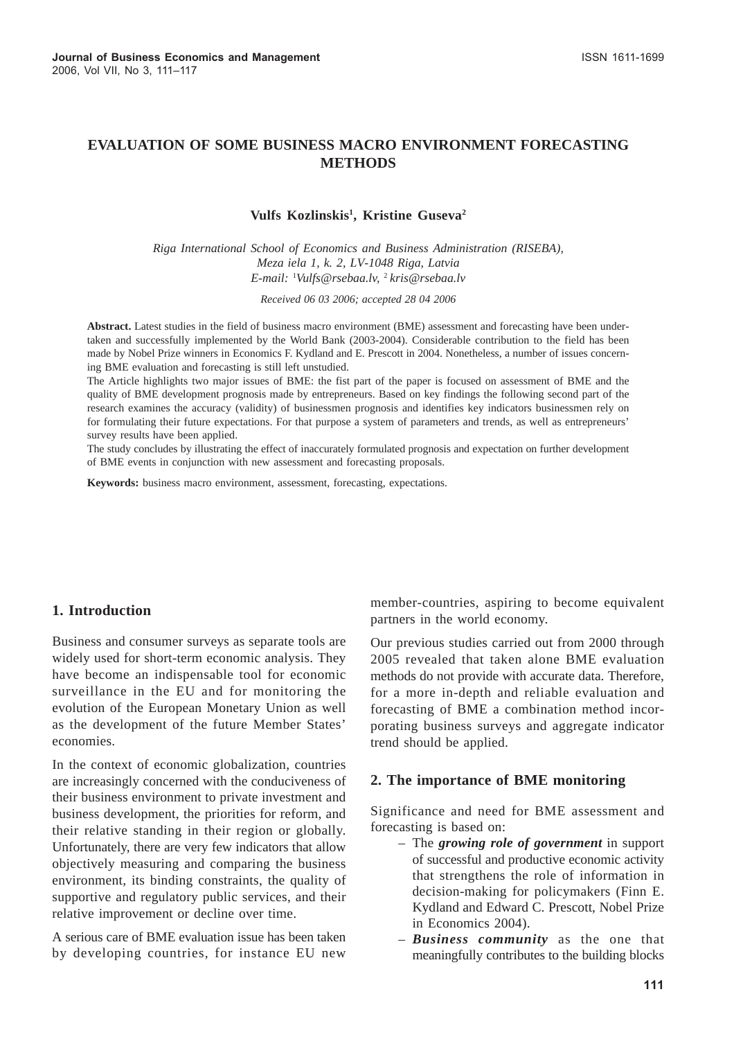## **EVALUATION OF SOME BUSINESS MACRO ENVIRONMENT FORECASTING METHODS**

#### **Vulfs Kozlinskis1 , Kristine Guseva2**

*Riga International School of Economics and Business Administration (RISEBA), Meza iela 1, k. 2, LV-1048 Riga, Latvia E-mail:* <sup>1</sup> *Vulfs@rsebaa.lv,* <sup>2</sup> *kris@rsebaa.lv*

*Received 06 03 2006; accepted 28 04 2006*

**Abstract.** Latest studies in the field of business macro environment (BME) assessment and forecasting have been undertaken and successfully implemented by the World Bank (2003-2004). Considerable contribution to the field has been made by Nobel Prize winners in Economics F. Kydland and E. Prescott in 2004. Nonetheless, a number of issues concerning BME evaluation and forecasting is still left unstudied.

The Article highlights two major issues of BME: the fist part of the paper is focused on assessment of BME and the quality of BME development prognosis made by entrepreneurs. Based on key findings the following second part of the research examines the accuracy (validity) of businessmen prognosis and identifies key indicators businessmen rely on for formulating their future expectations. For that purpose a system of parameters and trends, as well as entrepreneurs' survey results have been applied.

The study concludes by illustrating the effect of inaccurately formulated prognosis and expectation on further development of BME events in conjunction with new assessment and forecasting proposals.

**Keywords:** business macro environment, assessment, forecasting, expectations.

#### **1. Introduction**

Business and consumer surveys as separate tools are widely used for short-term economic analysis. They have become an indispensable tool for economic surveillance in the EU and for monitoring the evolution of the European Monetary Union as well as the development of the future Member States' economies.

In the context of economic globalization, countries are increasingly concerned with the conduciveness of their business environment to private investment and business development, the priorities for reform, and their relative standing in their region or globally. Unfortunately, there are very few indicators that allow objectively measuring and comparing the business environment, its binding constraints, the quality of supportive and regulatory public services, and their relative improvement or decline over time.

A serious care of BME evaluation issue has been taken by developing countries, for instance EU new

member-countries, aspiring to become equivalent partners in the world economy.

Our previous studies carried out from 2000 through 2005 revealed that taken alone BME evaluation methods do not provide with accurate data. Therefore, for a more in-depth and reliable evaluation and forecasting of BME a combination method incorporating business surveys and aggregate indicator trend should be applied.

#### **2. The importance of BME monitoring**

Significance and need for BME assessment and forecasting is based on:

- The *growing role of government* in support of successful and productive economic activity that strengthens the role of information in decision-making for policymakers (Finn E. Kydland and Edward C. Prescott, Nobel Prize in Economics 2004).
- *Business community* as the one that meaningfully contributes to the building blocks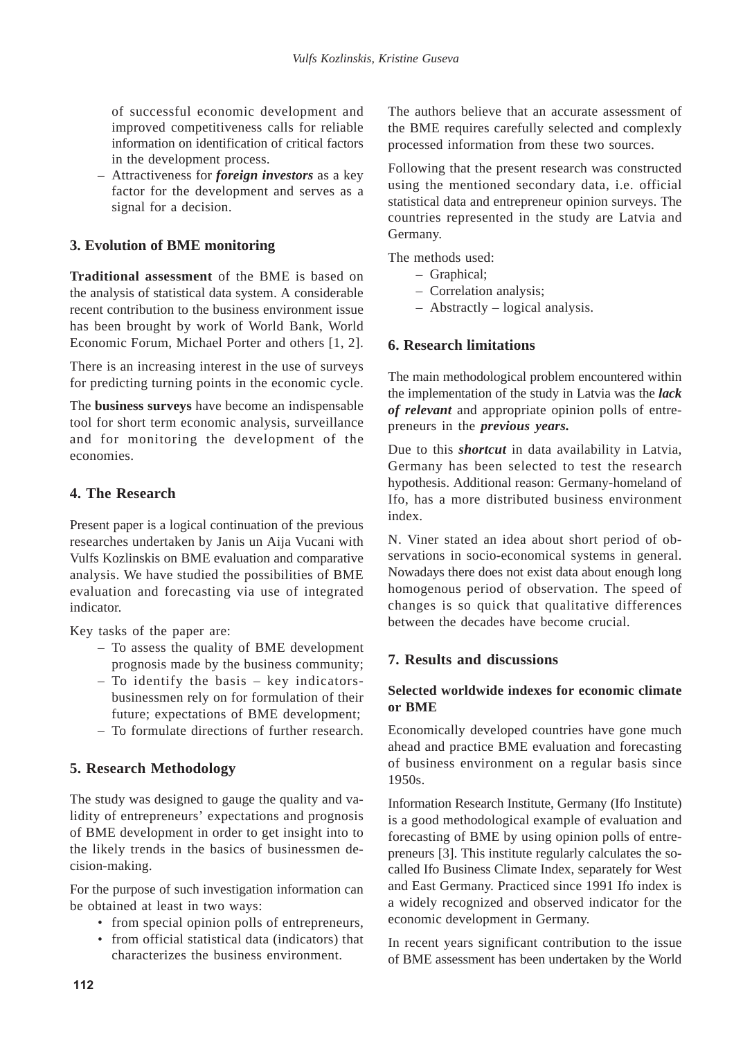of successful economic development and improved competitiveness calls for reliable information on identification of critical factors in the development process.

– Attractiveness for *foreign investors* as a key factor for the development and serves as a signal for a decision.

# **3. Evolution of BME monitoring**

**Traditional assessment** of the BME is based on the analysis of statistical data system. A considerable recent contribution to the business environment issue has been brought by work of World Bank, World Economic Forum, Michael Porter and others [1, 2].

There is an increasing interest in the use of surveys for predicting turning points in the economic cycle.

The **business surveys** have become an indispensable tool for short term economic analysis, surveillance and for monitoring the development of the economies.

## **4. The Research**

Present paper is a logical continuation of the previous researches undertaken by Janis un Aija Vucani with Vulfs Kozlinskis on BME evaluation and comparative analysis. We have studied the possibilities of BME evaluation and forecasting via use of integrated indicator.

Key tasks of the paper are:

- To assess the quality of BME development prognosis made by the business community;
- To identify the basis key indicatorsbusinessmen rely on for formulation of their future; expectations of BME development;
- To formulate directions of further research.

# **5. Research Methodology**

The study was designed to gauge the quality and validity of entrepreneurs' expectations and prognosis of BME development in order to get insight into to the likely trends in the basics of businessmen decision-making.

For the purpose of such investigation information can be obtained at least in two ways:

- from special opinion polls of entrepreneurs,
- from official statistical data (indicators) that characterizes the business environment.

The authors believe that an accurate assessment of the BME requires carefully selected and complexly processed information from these two sources.

Following that the present research was constructed using the mentioned secondary data, i.e. official statistical data and entrepreneur opinion surveys. The countries represented in the study are Latvia and Germany.

The methods used:

- Graphical;
- Correlation analysis;
- Abstractly logical analysis.

## **6. Research limitations**

The main methodological problem encountered within the implementation of the study in Latvia was the *lack of relevant* and appropriate opinion polls of entrepreneurs in the *previous years.*

Due to this *shortcut* in data availability in Latvia, Germany has been selected to test the research hypothesis. Additional reason: Germany-homeland of Ifo, has a more distributed business environment index.

N. Viner stated an idea about short period of observations in socio-economical systems in general. Nowadays there does not exist data about enough long homogenous period of observation. The speed of changes is so quick that qualitative differences between the decades have become crucial.

## **7. Results and discussions**

### **Selected worldwide indexes for economic climate or BME**

Economically developed countries have gone much ahead and practice BME evaluation and forecasting of business environment on a regular basis since 1950s.

Information Research Institute, Germany (Ifo Institute) is a good methodological example of evaluation and forecasting of BME by using opinion polls of entrepreneurs [3]. This institute regularly calculates the socalled Ifo Business Climate Index, separately for West and East Germany. Practiced since 1991 Ifo index is a widely recognized and observed indicator for the economic development in Germany.

In recent years significant contribution to the issue of BME assessment has been undertaken by the World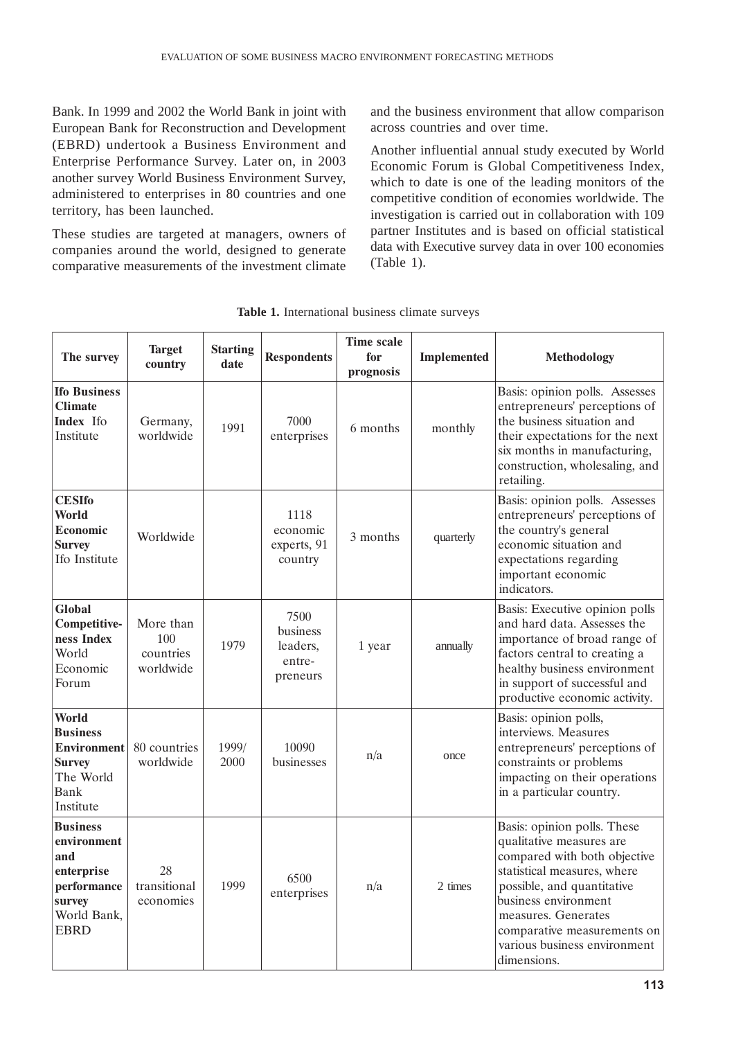Bank. In 1999 and 2002 the World Bank in joint with European Bank for Reconstruction and Development (EBRD) undertook a Business Environment and Enterprise Performance Survey. Later on, in 2003 another survey World Business Environment Survey, administered to enterprises in 80 countries and one territory, has been launched.

These studies are targeted at managers, owners of companies around the world, designed to generate comparative measurements of the investment climate and the business environment that allow comparison across countries and over time.

Another influential annual study executed by World Economic Forum is Global Competitiveness Index, which to date is one of the leading monitors of the competitive condition of economies worldwide. The investigation is carried out in collaboration with 109 partner Institutes and is based on official statistical data with Executive survey data in over 100 economies  $(Table 1).$ 

| The survey                                                                                                 | <b>Target</b><br>country                   | <b>Starting</b><br>date | <b>Respondents</b>                                 | <b>Time scale</b><br>for<br>prognosis | Implemented | Methodology                                                                                                                                                                                                                                                                       |
|------------------------------------------------------------------------------------------------------------|--------------------------------------------|-------------------------|----------------------------------------------------|---------------------------------------|-------------|-----------------------------------------------------------------------------------------------------------------------------------------------------------------------------------------------------------------------------------------------------------------------------------|
| <b>Ifo Business</b><br><b>Climate</b><br><b>Index</b> Ifo<br>Institute                                     | Germany,<br>worldwide                      | 1991                    | 7000<br>enterprises                                | 6 months                              | monthly     | Basis: opinion polls. Assesses<br>entrepreneurs' perceptions of<br>the business situation and<br>their expectations for the next<br>six months in manufacturing,<br>construction, wholesaling, and<br>retailing.                                                                  |
| <b>CESIfo</b><br>World<br><b>Economic</b><br><b>Survey</b><br>Ifo Institute                                | Worldwide                                  |                         | 1118<br>economic<br>experts, 91<br>country         | 3 months                              | quarterly   | Basis: opinion polls. Assesses<br>entrepreneurs' perceptions of<br>the country's general<br>economic situation and<br>expectations regarding<br>important economic<br>indicators.                                                                                                 |
| Global<br>Competitive-<br>ness Index<br>World<br>Economic<br>Forum                                         | More than<br>100<br>countries<br>worldwide | 1979                    | 7500<br>business<br>leaders,<br>entre-<br>preneurs | 1 year                                | annually    | Basis: Executive opinion polls<br>and hard data. Assesses the<br>importance of broad range of<br>factors central to creating a<br>healthy business environment<br>in support of successful and<br>productive economic activity.                                                   |
| World<br><b>Business</b><br><b>Environment</b><br><b>Survey</b><br>The World<br>Bank<br>Institute          | 80 countries<br>worldwide                  | 1999/<br>2000           | 10090<br>businesses                                | n/a                                   | once        | Basis: opinion polls,<br>interviews. Measures<br>entrepreneurs' perceptions of<br>constraints or problems<br>impacting on their operations<br>in a particular country.                                                                                                            |
| <b>Business</b><br>environment<br>and<br>enterprise<br>performance<br>survey<br>World Bank,<br><b>EBRD</b> | 28<br>transitional<br>economies            | 1999                    | 6500<br>enterprises                                | n/a                                   | 2 times     | Basis: opinion polls. These<br>qualitative measures are<br>compared with both objective<br>statistical measures, where<br>possible, and quantitative<br>business environment<br>measures. Generates<br>comparative measurements on<br>various business environment<br>dimensions. |

| Table 1. International business climate surveys |  |
|-------------------------------------------------|--|
|-------------------------------------------------|--|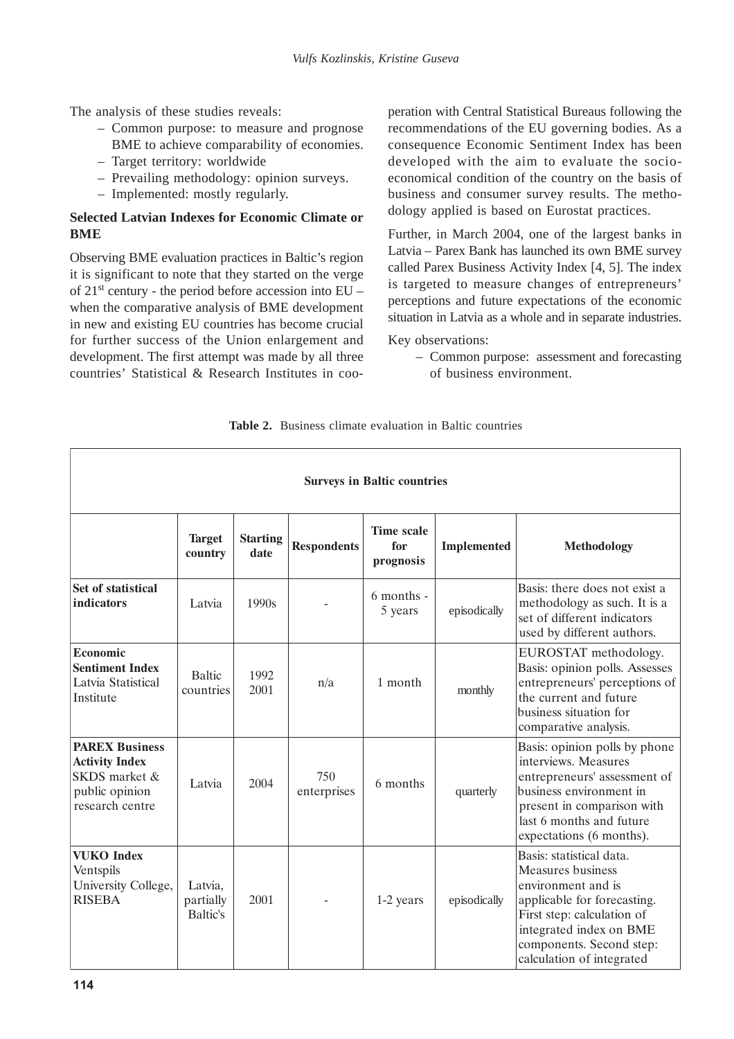The analysis of these studies reveals:

- Common purpose: to measure and prognose BME to achieve comparability of economies.
- Target territory: worldwide
- Prevailing methodology: opinion surveys.
- Implemented: mostly regularly.

### **Selected Latvian Indexes for Economic Climate or BME**

Observing BME evaluation practices in Baltic's region it is significant to note that they started on the verge of  $21<sup>st</sup>$  century - the period before accession into EU – when the comparative analysis of BME development in new and existing EU countries has become crucial for further success of the Union enlargement and development. The first attempt was made by all three countries' Statistical & Research Institutes in cooperation with Central Statistical Bureaus following the recommendations of the EU governing bodies. As a consequence Economic Sentiment Index has been developed with the aim to evaluate the socioeconomical condition of the country on the basis of business and consumer survey results. The methodology applied is based on Eurostat practices.

Further, in March 2004, one of the largest banks in Latvia – Parex Bank has launched its own BME survey called Parex Business Activity Index [4, 5]. The index is targeted to measure changes of entrepreneurs' perceptions and future expectations of the economic situation in Latvia as a whole and in separate industries.

Key observations:

- Common purpose: assessment and forecasting of business environment.

| <b>Surveys in Baltic countries</b>                                                                   |                                         |                         |                    |                                       |              |                                                                                                                                                                                                                             |
|------------------------------------------------------------------------------------------------------|-----------------------------------------|-------------------------|--------------------|---------------------------------------|--------------|-----------------------------------------------------------------------------------------------------------------------------------------------------------------------------------------------------------------------------|
|                                                                                                      | <b>Target</b><br>country                | <b>Starting</b><br>date | <b>Respondents</b> | <b>Time scale</b><br>for<br>prognosis | Implemented  | Methodology                                                                                                                                                                                                                 |
| <b>Set of statistical</b><br>indicators                                                              | Latvia                                  | 1990s                   |                    | $6$ months -<br>5 years               | episodically | Basis: there does not exist a<br>methodology as such. It is a<br>set of different indicators<br>used by different authors.                                                                                                  |
| Economic<br><b>Sentiment Index</b><br>Latvia Statistical<br>Institute                                | <b>Baltic</b><br>countries              | 1992<br>2001            | n/a                | 1 month                               | monthly      | EUROSTAT methodology.<br>Basis: opinion polls. Assesses<br>entrepreneurs' perceptions of<br>the current and future<br>business situation for<br>comparative analysis.                                                       |
| <b>PAREX Business</b><br><b>Activity Index</b><br>SKDS market &<br>public opinion<br>research centre | Latvia                                  | 2004                    | 750<br>enterprises | 6 months                              | quarterly    | Basis: opinion polls by phone<br>interviews. Measures<br>entrepreneurs' assessment of<br>business environment in<br>present in comparison with<br>last 6 months and future<br>expectations (6 months).                      |
| <b>VUKO Index</b><br>Ventspils<br>University College,<br><b>RISEBA</b>                               | Latvia,<br>partially<br><b>Baltic's</b> | 2001                    |                    | 1-2 years                             | episodically | Basis: statistical data.<br><b>Measures business</b><br>environment and is<br>applicable for forecasting.<br>First step: calculation of<br>integrated index on BME<br>components. Second step:<br>calculation of integrated |

Table 2. Business climate evaluation in Baltic countries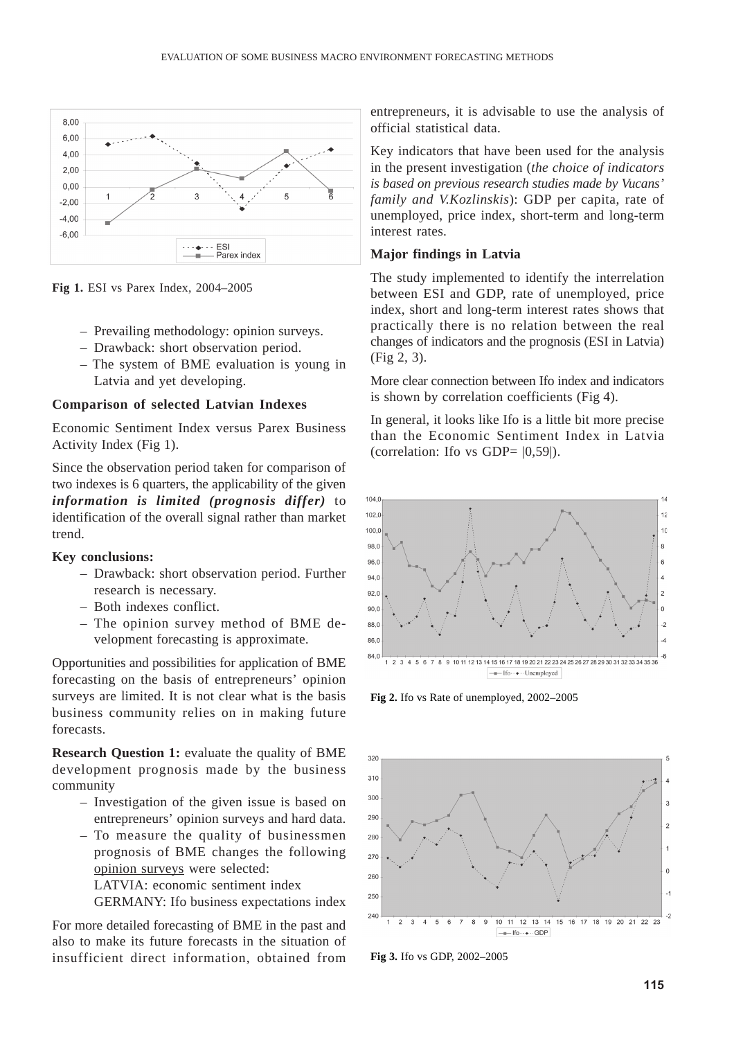

**Fig 1.** ESI vs Parex Index, 2004–2005

- Prevailing methodology: opinion surveys.
- Drawback: short observation period.
- The system of BME evaluation is young in Latvia and yet developing.

#### **Comparison of selected Latvian Indexes**

Economic Sentiment Index versus Parex Business Activity Index (Fig 1).

Since the observation period taken for comparison of two indexes is 6 quarters, the applicability of the given *information is limited (prognosis differ)* to identification of the overall signal rather than market trend.

#### **Key conclusions:**

- Drawback: short observation period. Further research is necessary.
- Both indexes conflict.
- The opinion survey method of BME development forecasting is approximate.

Opportunities and possibilities for application of BME forecasting on the basis of entrepreneurs' opinion surveys are limited. It is not clear what is the basis business community relies on in making future forecasts.

**Research Question 1:** evaluate the quality of BME development prognosis made by the business community

- Investigation of the given issue is based on entrepreneurs' opinion surveys and hard data.
- To measure the quality of businessmen prognosis of BME changes the following opinion surveys were selected: LATVIA: economic sentiment index

GERMANY: Ifo business expectations index

For more detailed forecasting of BME in the past and also to make its future forecasts in the situation of insufficient direct information, obtained from entrepreneurs, it is advisable to use the analysis of official statistical data.

Key indicators that have been used for the analysis in the present investigation (*the choice of indicators is based on previous research studies made by Vucans' family and V.Kozlinskis*): GDP per capita, rate of unemployed, price index, short-term and long-term interest rates.

#### **Major findings in Latvia**

The study implemented to identify the interrelation between ESI and GDP, rate of unemployed, price index, short and long-term interest rates shows that practically there is no relation between the real changes of indicators and the prognosis (ESI in Latvia) (Fig 2, 3).

More clear connection between Ifo index and indicators is shown by correlation coefficients (Fig 4).

In general, it looks like Ifo is a little bit more precise than the Economic Sentiment Index in Latvia (correlation: Ifo vs GDP=  $|0,59|$ ).



**Fig 2.** Ifo vs Rate of unemployed, 2002–2005



**Fig 3.** Ifo vs GDP, 2002–2005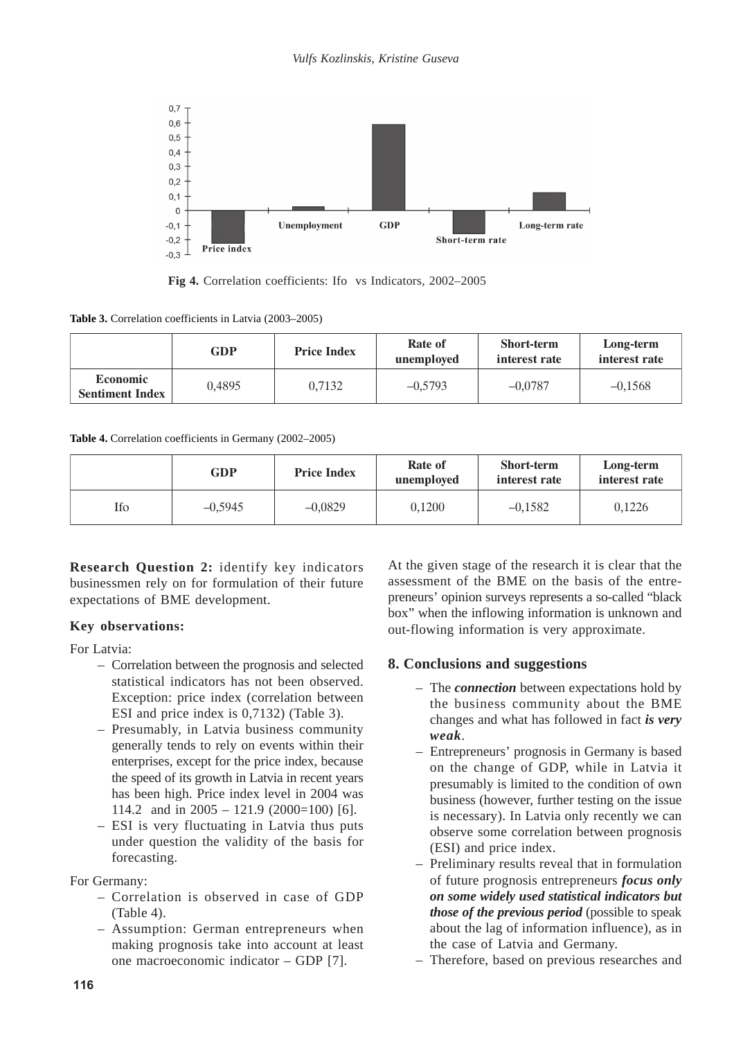

**Fig 4.** Correlation coefficients: Ifo vs Indicators, 2002–2005

**Table 3.** Correlation coefficients in Latvia (2003–2005)

|                                           | GDP    | <b>Price Index</b> | Rate of<br>unemployed | <b>Short-term</b><br>interest rate | Long-term<br>interest rate |
|-------------------------------------------|--------|--------------------|-----------------------|------------------------------------|----------------------------|
| <b>Economic</b><br><b>Sentiment Index</b> | 0.4895 | 0.7132             | $-0.5793$             | $-0.0787$                          | $-0.1568$                  |

**Table 4.** Correlation coefficients in Germany (2002–2005)

|     | GDP       | <b>Price Index</b> | Rate of<br>unemployed | <b>Short-term</b><br>interest rate | Long-term<br>interest rate |
|-----|-----------|--------------------|-----------------------|------------------------------------|----------------------------|
| Ifo | $-0.5945$ | $-0.0829$          | 0.1200                | $-0.1582$                          | 0,1226                     |

**Research Question 2:** identify key indicators businessmen rely on for formulation of their future expectations of BME development.

#### **Key observations:**

For Latvia:

- Correlation between the prognosis and selected statistical indicators has not been observed. Exception: price index (correlation between ESI and price index is 0,7132) (Table 3).
- Presumably, in Latvia business community generally tends to rely on events within their enterprises, except for the price index, because the speed of its growth in Latvia in recent years has been high. Price index level in 2004 was 114.2 and in  $2005 - 121.9$  (2000=100) [6].
- ESI is very fluctuating in Latvia thus puts under question the validity of the basis for forecasting.

For Germany:

- Correlation is observed in case of GDP (Table 4).
- Assumption: German entrepreneurs when making prognosis take into account at least one macroeconomic indicator – GDP [7].

At the given stage of the research it is clear that the assessment of the BME on the basis of the entrepreneurs' opinion surveys represents a so-called "black box" when the inflowing information is unknown and out-flowing information is very approximate.

### **8. Conclusions and suggestions**

- The *connection* between expectations hold by the business community about the BME changes and what has followed in fact *is very weak.*
- Entrepreneurs' prognosis in Germany is based on the change of GDP, while in Latvia it presumably is limited to the condition of own business (however, further testing on the issue is necessary). In Latvia only recently we can observe some correlation between prognosis (ESI) and price index.
- Preliminary results reveal that in formulation of future prognosis entrepreneurs *focus only on some widely used statistical indicators but those of the previous period* (possible to speak about the lag of information influence), as in the case of Latvia and Germany.
- Therefore, based on previous researches and